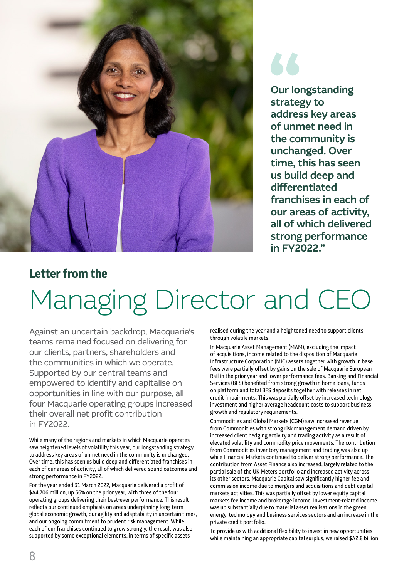

Our longstanding strategy to address key areas of unmet need in the community is unchanged. Over time, this has seen us build deep and differentiated franchises in each of our areas of activity, all of which delivered strong performance in FY2022."

## **Letter from the**

# Managing Director and CEO

Against an uncertain backdrop, Macquarie's teams remained focused on delivering for our clients, partners, shareholders and the communities in which we operate. Supported by our central teams and empowered to identify and capitalise on opportunities in line with our purpose, all four Macquarie operating groups increased their overall net profit contribution in FY2022.

While many of the regions and markets in which Macquarie operates saw heightened levels of volatility this year, our longstanding strategy to address key areas of unmet need in the community is unchanged. Over time, this has seen us build deep and differentiated franchises in each of our areas of activity, all of which delivered sound outcomes and strong performance in FY2022.

For the year ended 31 March 2022, Macquarie delivered a profit of \$A4,706 million, up 56% on the prior year, with three of the four operating groups delivering their best-ever performance. This result reflects our continued emphasis on areas underpinning long-term global economic growth, our agility and adaptability in uncertain times, and our ongoing commitment to prudent risk management. While each of our franchises continued to grow strongly, the result was also supported by some exceptional elements, in terms of specific assets

realised during the year and a heightened need to support clients through volatile markets.

In Macquarie Asset Management (MAM), excluding the impact of acquisitions, income related to the disposition of Macquarie Infrastructure Corporation (MIC) assets together with growth in base fees were partially offset by gains on the sale of Macquarie European Rail in the prior year and lower performance fees. Banking and Financial Services (BFS) benefited from strong growth in home loans, funds on platform and total BFS deposits together with releases in net credit impairments. This was partially offset by increased technology investment and higher average headcount costs to support business growth and regulatory requirements.

Commodities and Global Markets (CGM) saw increased revenue from Commodities with strong risk management demand driven by increased client hedging activity and trading activity as a result of elevated volatility and commodity price movements. The contribution from Commodities inventory management and trading was also up while Financial Markets continued to deliver strong performance. The contribution from Asset Finance also increased, largely related to the partial sale of the UK Meters portfolio and increased activity across its other sectors. Macquarie Capital saw significantly higher fee and commission income due to mergers and acquisitions and debt capital markets activities. This was partially offset by lower equity capital markets fee income and brokerage income. Investment-related income was up substantially due to material asset realisations in the green energy, technology and business services sectors and an increase in the private credit portfolio.

To provide us with additional flexibility to invest in new opportunities while maintaining an appropriate capital surplus, we raised \$A2.8 billion